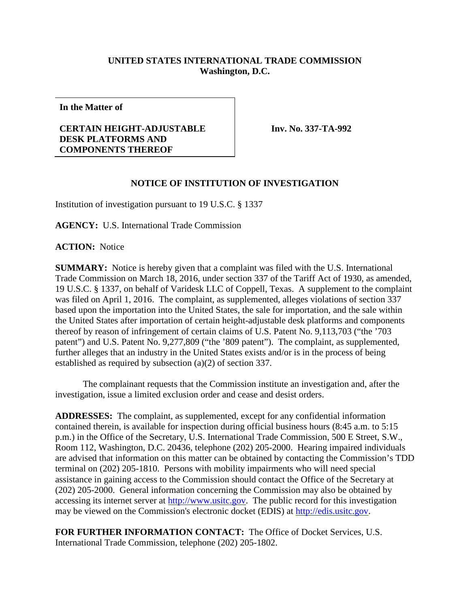## **UNITED STATES INTERNATIONAL TRADE COMMISSION Washington, D.C.**

**In the Matter of**

## **CERTAIN HEIGHT-ADJUSTABLE DESK PLATFORMS AND COMPONENTS THEREOF**

**Inv. No. 337-TA-992**

## **NOTICE OF INSTITUTION OF INVESTIGATION**

Institution of investigation pursuant to 19 U.S.C. § 1337

**AGENCY:** U.S. International Trade Commission

**ACTION:** Notice

**SUMMARY:** Notice is hereby given that a complaint was filed with the U.S. International Trade Commission on March 18, 2016, under section 337 of the Tariff Act of 1930, as amended, 19 U.S.C. § 1337, on behalf of Varidesk LLC of Coppell, Texas. A supplement to the complaint was filed on April 1, 2016. The complaint, as supplemented, alleges violations of section 337 based upon the importation into the United States, the sale for importation, and the sale within the United States after importation of certain height-adjustable desk platforms and components thereof by reason of infringement of certain claims of U.S. Patent No. 9,113,703 ("the '703 patent") and U.S. Patent No. 9,277,809 ("the '809 patent"). The complaint, as supplemented, further alleges that an industry in the United States exists and/or is in the process of being established as required by subsection (a)(2) of section 337.

The complainant requests that the Commission institute an investigation and, after the investigation, issue a limited exclusion order and cease and desist orders.

**ADDRESSES:** The complaint, as supplemented, except for any confidential information contained therein, is available for inspection during official business hours (8:45 a.m. to 5:15 p.m.) in the Office of the Secretary, U.S. International Trade Commission, 500 E Street, S.W., Room 112, Washington, D.C. 20436, telephone (202) 205-2000. Hearing impaired individuals are advised that information on this matter can be obtained by contacting the Commission's TDD terminal on (202) 205-1810. Persons with mobility impairments who will need special assistance in gaining access to the Commission should contact the Office of the Secretary at (202) 205-2000. General information concerning the Commission may also be obtained by accessing its internet server at [http://www.usitc.gov.](http://www.usitc.gov/) The public record for this investigation may be viewed on the Commission's electronic docket (EDIS) at [http://edis.usitc.gov.](http://edis.usitc.gov/)

**FOR FURTHER INFORMATION CONTACT:** The Office of Docket Services, U.S. International Trade Commission, telephone (202) 205-1802.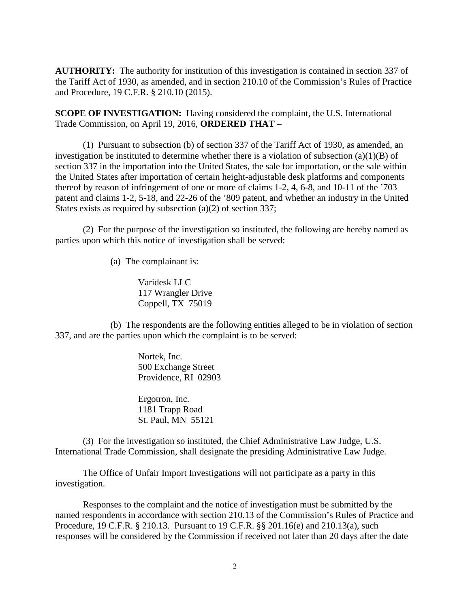**AUTHORITY:** The authority for institution of this investigation is contained in section 337 of the Tariff Act of 1930, as amended, and in section 210.10 of the Commission's Rules of Practice and Procedure, 19 C.F.R. § 210.10 (2015).

**SCOPE OF INVESTIGATION:** Having considered the complaint, the U.S. International Trade Commission, on April 19, 2016, **ORDERED THAT** –

(1) Pursuant to subsection (b) of section 337 of the Tariff Act of 1930, as amended, an investigation be instituted to determine whether there is a violation of subsection (a)(1)(B) of section 337 in the importation into the United States, the sale for importation, or the sale within the United States after importation of certain height-adjustable desk platforms and components thereof by reason of infringement of one or more of claims 1-2, 4, 6-8, and 10-11 of the '703 patent and claims 1-2, 5-18, and 22-26 of the '809 patent, and whether an industry in the United States exists as required by subsection (a)(2) of section 337;

(2) For the purpose of the investigation so instituted, the following are hereby named as parties upon which this notice of investigation shall be served:

(a) The complainant is:

Varidesk LLC 117 Wrangler Drive Coppell, TX 75019

(b) The respondents are the following entities alleged to be in violation of section 337, and are the parties upon which the complaint is to be served:

> Nortek, Inc. 500 Exchange Street Providence, RI 02903

Ergotron, Inc. 1181 Trapp Road St. Paul, MN 55121

(3) For the investigation so instituted, the Chief Administrative Law Judge, U.S. International Trade Commission, shall designate the presiding Administrative Law Judge.

The Office of Unfair Import Investigations will not participate as a party in this investigation.

Responses to the complaint and the notice of investigation must be submitted by the named respondents in accordance with section 210.13 of the Commission's Rules of Practice and Procedure, 19 C.F.R. § 210.13. Pursuant to 19 C.F.R. §§ 201.16(e) and 210.13(a), such responses will be considered by the Commission if received not later than 20 days after the date